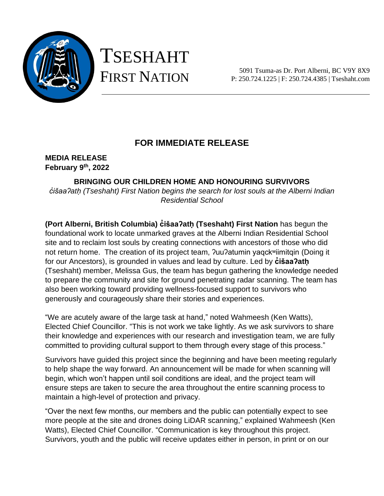

# TSESHAHT FIRST NATION

5091 Tsuma-as Dr. Port Alberni, BC V9Y 8X9 P: 250.724.1225 | F: 250.724.4385 | Tseshaht.com

### **FOR IMMEDIATE RELEASE**

**MEDIA RELEASE February 9 th, 2022**

**BRINGING OUR CHILDREN HOME AND HONOURING SURVIVORS** *c̓išaaʔatḥ (Tseshaht) First Nation begins the search for lost souls at the Alberni Indian Residential School*

**(Port Alberni, British Columbia) c̓išaaʔatḥ (Tseshaht) First Nation** has begun the foundational work to locate unmarked graves at the Alberni Indian Residential School site and to reclaim lost souls by creating connections with ancestors of those who did not return home. The creation of its project team, ?uu?atumin yaqckwiimitqin (Doing it for our Ancestors), is grounded in values and lead by culture. Led by **c̓išaaʔatḥ** (Tseshaht) member, Melissa Gus, the team has begun gathering the knowledge needed to prepare the community and site for ground penetrating radar scanning. The team has also been working toward providing wellness-focused support to survivors who generously and courageously share their stories and experiences.

"We are acutely aware of the large task at hand," noted Wahmeesh (Ken Watts), Elected Chief Councillor. "This is not work we take lightly. As we ask survivors to share their knowledge and experiences with our research and investigation team, we are fully committed to providing cultural support to them through every stage of this process."

Survivors have guided this project since the beginning and have been meeting regularly to help shape the way forward. An announcement will be made for when scanning will begin, which won't happen until soil conditions are ideal, and the project team will ensure steps are taken to secure the area throughout the entire scanning process to maintain a high-level of protection and privacy.

"Over the next few months, our members and the public can potentially expect to see more people at the site and drones doing LiDAR scanning," explained Wahmeesh (Ken Watts), Elected Chief Councillor. "Communication is key throughout this project. Survivors, youth and the public will receive updates either in person, in print or on our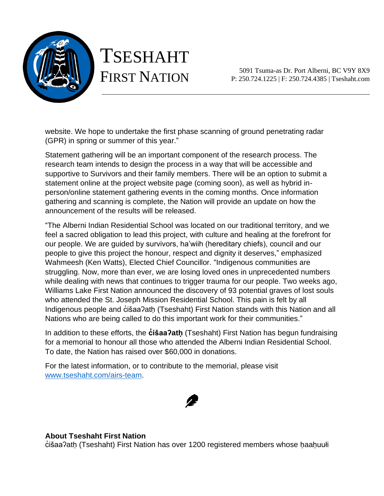

## TSESHAHT FIRST NATION

5091 Tsuma-as Dr. Port Alberni, BC V9Y 8X9 P: 250.724.1225 | F: 250.724.4385 | Tseshaht.com

website. We hope to undertake the first phase scanning of ground penetrating radar (GPR) in spring or summer of this year."

Statement gathering will be an important component of the research process. The research team intends to design the process in a way that will be accessible and supportive to Survivors and their family members. There will be an option to submit a statement online at the project website page (coming soon), as well as hybrid inperson/online statement gathering events in the coming months. Once information gathering and scanning is complete, the Nation will provide an update on how the announcement of the results will be released.

"The Alberni Indian Residential School was located on our traditional territory, and we feel a sacred obligation to lead this project, with culture and healing at the forefront for our people. We are guided by survivors, ha'wiih (hereditary chiefs), council and our people to give this project the honour, respect and dignity it deserves," emphasized Wahmeesh (Ken Watts), Elected Chief Councillor. "Indigenous communities are struggling. Now, more than ever, we are losing loved ones in unprecedented numbers while dealing with news that continues to trigger trauma for our people. Two weeks ago, Williams Lake First Nation announced the discovery of 93 potential graves of lost souls who attended the St. Joseph Mission Residential School. This pain is felt by all Indigenous people and cisaa?ath (Tseshaht) First Nation stands with this Nation and all Nations who are being called to do this important work for their communities."

In addition to these efforts, the **c̓išaaʔatḥ** (Tseshaht) First Nation has begun fundraising for a memorial to honour all those who attended the Alberni Indian Residential School. To date, the Nation has raised over \$60,000 in donations.

For the latest information, or to contribute to the memorial, please visit [www.tseshaht.com/airs-team.](http://www.tseshaht.com/airs-team)



#### **About Tseshaht First Nation**

c̓ išaaʔatḥ (Tseshaht) First Nation has over 1200 registered members whose ḥaaḥuułi